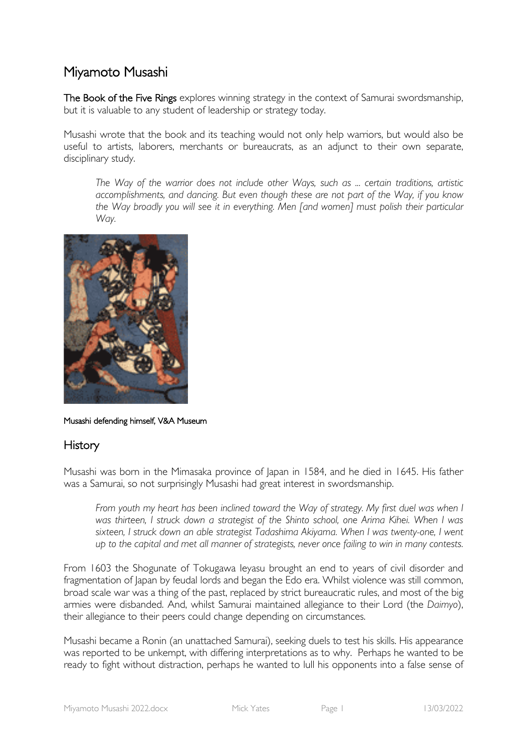# Miyamoto Musashi

The Book of the Five Rings explores winning strategy in the context of Samurai swordsmanship, but it is valuable to any student of leadership or strategy today.

Musashi wrote that the book and its teaching would not only help warriors, but would also be useful to artists, laborers, merchants or bureaucrats, as an adjunct to their own separate, disciplinary study.

*The Way of the warrior does not include other Ways, such as ... certain traditions, artistic accomplishments, and dancing. But even though these are not part of the Way, if you know the Way broadly you will see it in everything. Men [and women] must polish their particular Way.*



#### Musashi defending himself, V&A Museum

## **History**

Musashi was born in the Mimasaka province of Japan in 1584, and he died in 1645. His father was a Samurai, so not surprisingly Musashi had great interest in swordsmanship.

From youth my heart has been inclined toward the Way of strategy. My first duel was when I *was thirteen, I struck down a strategist of the Shinto school, one Arima Kihei. When I was sixteen, I struck down an able strategist Tadashima Akiyama. When I was twenty-one, I went up to the capital and met all manner of strategists, never once failing to win in many contests.*

From 1603 the Shogunate of Tokugawa Ieyasu brought an end to years of civil disorder and fragmentation of Japan by feudal lords and began the Edo era. Whilst violence was still common, broad scale war was a thing of the past, replaced by strict bureaucratic rules, and most of the big armies were disbanded. And, whilst Samurai maintained allegiance to their Lord (the *Daimyo*), their allegiance to their peers could change depending on circumstances.

Musashi became a Ronin (an unattached Samurai), seeking duels to test his skills. His appearance was reported to be unkempt, with differing interpretations as to why. Perhaps he wanted to be ready to fight without distraction, perhaps he wanted to lull his opponents into a false sense of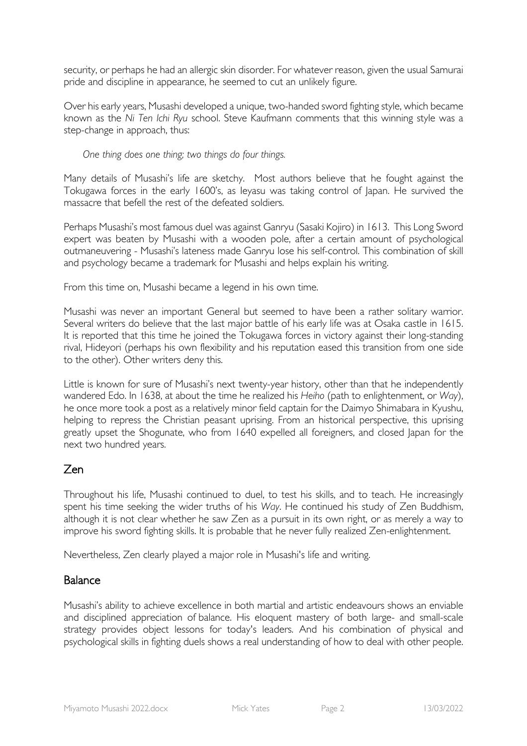security, or perhaps he had an allergic skin disorder. For whatever reason, given the usual Samurai pride and discipline in appearance, he seemed to cut an unlikely figure.

Over his early years, Musashi developed a unique, two-handed sword fighting style, which became known as the *Ni Ten Ichi Ryu* school. Steve Kaufmann comments that this winning style was a step-change in approach, thus:

*One thing does one thing; two things do four things.*

Many details of Musashi's life are sketchy. Most authors believe that he fought against the Tokugawa forces in the early 1600's, as Ieyasu was taking control of Japan. He survived the massacre that befell the rest of the defeated soldiers.

Perhaps Musashi's most famous duel was against Ganryu (Sasaki Kojiro) in 1613. This Long Sword expert was beaten by Musashi with a wooden pole, after a certain amount of psychological outmaneuvering - Musashi's lateness made Ganryu lose his self-control. This combination of skill and psychology became a trademark for Musashi and helps explain his writing.

From this time on, Musashi became a legend in his own time.

Musashi was never an important General but seemed to have been a rather solitary warrior. Several writers do believe that the last major battle of his early life was at Osaka castle in 1615. It is reported that this time he joined the Tokugawa forces in victory against their long-standing rival, Hideyori (perhaps his own flexibility and his reputation eased this transition from one side to the other). Other writers deny this.

Little is known for sure of Musashi's next twenty-year history, other than that he independently wandered Edo. In 1638, at about the time he realized his *Heiho* (path to enlightenment, or *Way*), he once more took a post as a relatively minor field captain for the Daimyo Shimabara in Kyushu, helping to repress the Christian peasant uprising. From an historical perspective, this uprising greatly upset the Shogunate, who from 1640 expelled all foreigners, and closed Japan for the next two hundred years.

## Zen

Throughout his life, Musashi continued to duel, to test his skills, and to teach. He increasingly spent his time seeking the wider truths of his *Way*. He continued his study of Zen Buddhism, although it is not clear whether he saw Zen as a pursuit in its own right, or as merely a way to improve his sword fighting skills. It is probable that he never fully realized Zen-enlightenment.

Nevertheless, Zen clearly played a major role in Musashi's life and writing.

## **Balance**

Musashi's ability to achieve excellence in both martial and artistic endeavours shows an enviable and disciplined appreciation of balance. His eloquent mastery of both large- and small-scale strategy provides object lessons for today's leaders. And his combination of physical and psychological skills in fighting duels shows a real understanding of how to deal with other people.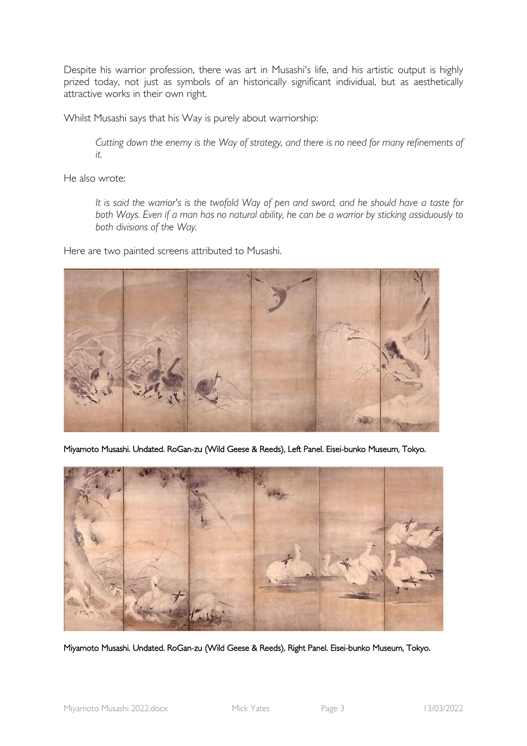Despite his warrior profession, there was art in Musashi's life, and his artistic output is highly prized today, not just as symbols of an historically significant individual, but as aesthetically attractive works in their own right.

Whilst Musashi says that his Way is purely about warriorship:

*Cutting down the enemy is the Way of strategy, and there is no need for many refinements of it.*

He also wrote:

*It is said the warrior's is the twofold Way of pen and sword, and he should have a taste for both Ways. Even if a man has no natural ability, he can be a warrior by sticking assiduously to both divisions of the Way.*

Here are two painted screens attributed to Musashi.



Miyamoto Musashi. Undated. RoGan-zu (Wild Geese & Reeds), Left Panel. Eisei-bunko Museum, Tokyo.



Miyamoto Musashi. Undated. RoGan-zu (Wild Geese & Reeds), Right Panel. Eisei-bunko Museum, Tokyo.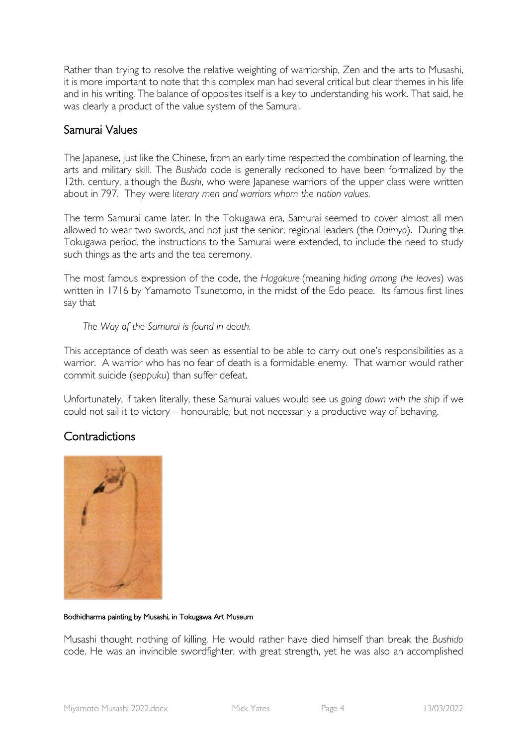Rather than trying to resolve the relative weighting of warriorship, Zen and the arts to Musashi, it is more important to note that this complex man had several critical but clear themes in his life and in his writing. The balance of opposites itself is a key to understanding his work. That said, he was clearly a product of the value system of the Samurai.

## Samurai Values

The Japanese, just like the Chinese, from an early time respected the combination of learning, the arts and military skill. The *Bushido* code is generally reckoned to have been formalized by the 12th. century, although the *Bushi*, who were *apanese warriors* of the upper class were written about in 797. They were l*iterary men and warriors whom the nation values*.

The term Samurai came later. In the Tokugawa era, Samurai seemed to cover almost all men allowed to wear two swords, and not just the senior, regional leaders (the *Daimyo*). During the Tokugawa period, the instructions to the Samurai were extended, to include the need to study such things as the arts and the tea ceremony.

The most famous expression of the code, the *Hagakure* (meaning *hiding among the leaves*) was written in 1716 by Yamamoto Tsunetomo, in the midst of the Edo peace. Its famous first lines say that

*The Way of the Samurai is found in death.*

This acceptance of death was seen as essential to be able to carry out one's responsibilities as a warrior. A warrior who has no fear of death is a formidable enemy. That warrior would rather commit suicide (*seppuku*) than suffer defeat.

Unfortunately, if taken literally, these Samurai values would see us *going down with the ship* if we could not sail it to victory – honourable, but not necessarily a productive way of behaving.

## **Contradictions**



#### Bodhidharma painting by Musashi, in Tokugawa Art Museum

Musashi thought nothing of killing. He would rather have died himself than break the *Bushido* code. He was an invincible swordfighter, with great strength, yet he was also an accomplished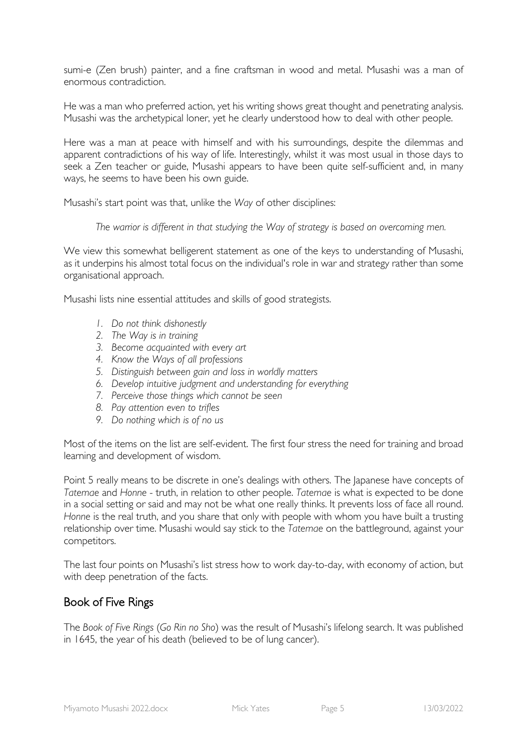sumi-e (Zen brush) painter, and a fine craftsman in wood and metal. Musashi was a man of enormous contradiction.

He was a man who preferred action, yet his writing shows great thought and penetrating analysis. Musashi was the archetypical loner, yet he clearly understood how to deal with other people.

Here was a man at peace with himself and with his surroundings, despite the dilemmas and apparent contradictions of his way of life. Interestingly, whilst it was most usual in those days to seek a Zen teacher or guide, Musashi appears to have been quite self-sufficient and, in many ways, he seems to have been his own guide.

Musashi's start point was that, unlike the *Way* of other disciplines:

*The warrior is different in that studying the Way of strategy is based on overcoming men.*

We view this somewhat belligerent statement as one of the keys to understanding of Musashi, as it underpins his almost total focus on the individual's role in war and strategy rather than some organisational approach.

Musashi lists nine essential attitudes and skills of good strategists.

- *1. Do not think dishonestly*
- *2. The Way is in training*
- *3. Become acquainted with every art*
- *4. Know the Ways of all professions*
- *5. Distinguish between gain and loss in worldly matters*
- *6. Develop intuitive judgment and understanding for everything*
- *7. Perceive those things which cannot be seen*
- *8. Pay attention even to trifles*
- *9. Do nothing which is of no us*

Most of the items on the list are self-evident. The first four stress the need for training and broad learning and development of wisdom.

Point 5 really means to be discrete in one's dealings with others. The Japanese have concepts of *Tatemae* and *Honne* - truth, in relation to other people. *Tatemae* is what is expected to be done in a social setting or said and may not be what one really thinks. It prevents loss of face all round. *Honne* is the real truth, and you share that only with people with whom you have built a trusting relationship over time. Musashi would say stick to the *Tatemae* on the battleground, against your competitors.

The last four points on Musashi's list stress how to work day-to-day, with economy of action, but with deep penetration of the facts.

## Book of Five Rings

The *Book of Five Rings* (*Go Rin no Sho*) was the result of Musashi's lifelong search. It was published in 1645, the year of his death (believed to be of lung cancer).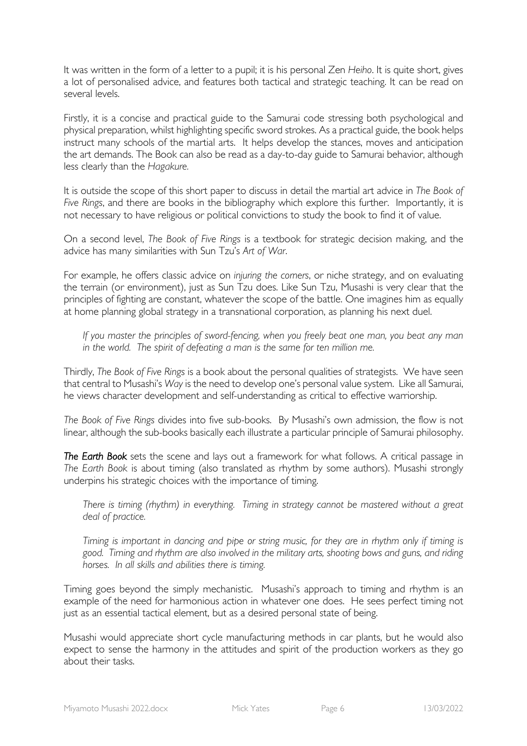It was written in the form of a letter to a pupil; it is his personal Zen *Heiho*. It is quite short, gives a lot of personalised advice, and features both tactical and strategic teaching. It can be read on several levels.

Firstly, it is a concise and practical guide to the Samurai code stressing both psychological and physical preparation, whilst highlighting specific sword strokes. As a practical guide, the book helps instruct many schools of the martial arts. It helps develop the stances, moves and anticipation the art demands. The Book can also be read as a day-to-day guide to Samurai behavior, although less clearly than the *Hagakure.*

It is outside the scope of this short paper to discuss in detail the martial art advice in *The Book of Five Rings*, and there are books in the bibliography which explore this further. Importantly, it is not necessary to have religious or political convictions to study the book to find it of value.

On a second level, *The Book of Five Rings* is a textbook for strategic decision making, and the advice has many similarities with Sun Tzu's *Art of War*.

For example, he offers classic advice on *injuring the corners*, or niche strategy, and on evaluating the terrain (or environment), just as Sun Tzu does. Like Sun Tzu, Musashi is very clear that the principles of fighting are constant, whatever the scope of the battle. One imagines him as equally at home planning global strategy in a transnational corporation, as planning his next duel.

*If you master the principles of sword-fencing, when you freely beat one man, you beat any man in the world. The spirit of defeating a man is the same for ten million me.*

Thirdly, *The Book of Five Rings* is a book about the personal qualities of strategists. We have seen that central to Musashi's *Way* is the need to develop one's personal value system. Like all Samurai, he views character development and self-understanding as critical to effective warriorship.

*The Book of Five Rings* divides into five sub-books. By Musashi's own admission, the flow is not linear, although the sub-books basically each illustrate a particular principle of Samurai philosophy.

*The Earth Book* sets the scene and lays out a framework for what follows. A critical passage in *The Earth Book* is about timing (also translated as rhythm by some authors). Musashi strongly underpins his strategic choices with the importance of timing.

*There is timing (rhythm) in everything. Timing in strategy cannot be mastered without a great deal of practice.*

*Timing is important in dancing and pipe or string music, for they are in rhythm only if timing is good. Timing and rhythm are also involved in the military arts, shooting bows and guns, and riding horses. In all skills and abilities there is timing.*

Timing goes beyond the simply mechanistic. Musashi's approach to timing and rhythm is an example of the need for harmonious action in whatever one does. He sees perfect timing not just as an essential tactical element, but as a desired personal state of being.

Musashi would appreciate short cycle manufacturing methods in car plants, but he would also expect to sense the harmony in the attitudes and spirit of the production workers as they go about their tasks.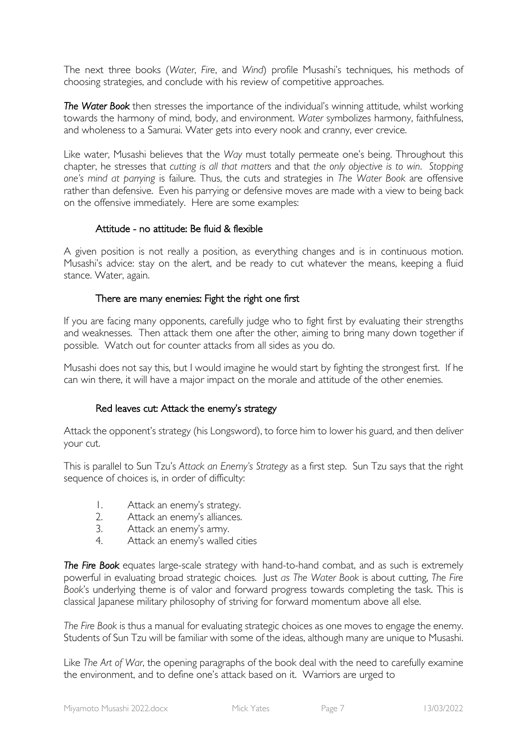The next three books (*Water*, *Fire*, and *Wind*) profile Musashi's techniques, his methods of choosing strategies, and conclude with his review of competitive approaches.

*The Water Book* then stresses the importance of the individual's winning attitude, whilst working towards the harmony of mind, body, and environment. *Water* symbolizes harmony, faithfulness, and wholeness to a Samurai. Water gets into every nook and cranny, ever crevice.

Like water, Musashi believes that the *Way* must totally permeate one's being. Throughout this chapter, he stresses that *cutting is all that matters* and that *the only objective is to win*. *Stopping one's mind at parrying* is failure. Thus, the cuts and strategies in *The Water Book* are offensive rather than defensive. Even his parrying or defensive moves are made with a view to being back on the offensive immediately. Here are some examples:

#### Attitude - no attitude: Be fluid & flexible

A given position is not really a position, as everything changes and is in continuous motion. Musashi's advice: stay on the alert, and be ready to cut whatever the means, keeping a fluid stance. Water, again.

#### There are many enemies: Fight the right one first

If you are facing many opponents, carefully judge who to fight first by evaluating their strengths and weaknesses. Then attack them one after the other, aiming to bring many down together if possible. Watch out for counter attacks from all sides as you do.

Musashi does not say this, but I would imagine he would start by fighting the strongest first. If he can win there, it will have a major impact on the morale and attitude of the other enemies.

#### Red leaves cut: Attack the enemy's strategy

Attack the opponent's strategy (his Longsword), to force him to lower his guard, and then deliver your cut.

This is parallel to Sun Tzu's *Attack an Enemy's Strategy* as a first step. Sun Tzu says that the right sequence of choices is, in order of difficulty:

- 1. Attack an enemy's strategy.
- 2. Attack an enemy's alliances.
- 3. Attack an enemy's army.
- 4. Attack an enemy's walled cities

*The Fire Book* equates large-scale strategy with hand-to-hand combat, and as such is extremely powerful in evaluating broad strategic choices. Just *as The Water Book* is about cutting, *The Fire Book*'s underlying theme is of valor and forward progress towards completing the task. This is classical Japanese military philosophy of striving for forward momentum above all else.

*The Fire Book* is thus a manual for evaluating strategic choices as one moves to engage the enemy. Students of Sun Tzu will be familiar with some of the ideas, although many are unique to Musashi.

Like *The Art of War*, the opening paragraphs of the book deal with the need to carefully examine the environment, and to define one's attack based on it. Warriors are urged to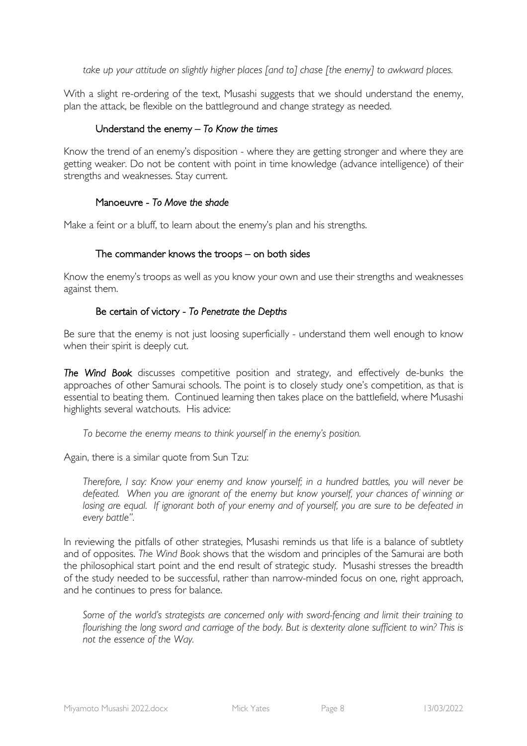*take up your attitude on slightly higher places [and to] chase [the enemy] to awkward places.* 

With a slight re-ordering of the text, Musashi suggests that we should understand the enemy, plan the attack, be flexible on the battleground and change strategy as needed.

#### Understand the enemy – *To Know the times*

Know the trend of an enemy's disposition - where they are getting stronger and where they are getting weaker. Do not be content with point in time knowledge (advance intelligence) of their strengths and weaknesses. Stay current.

#### Manoeuvre - *To Move the shade*

Make a feint or a bluff, to learn about the enemy's plan and his strengths.

#### The commander knows the troops – on both sides

Know the enemy's troops as well as you know your own and use their strengths and weaknesses against them.

#### Be certain of victory - *To Penetrate the Depths*

Be sure that the enemy is not just loosing superficially - understand them well enough to know when their spirit is deeply cut.

*The Wind Book* discusses competitive position and strategy, and effectively de-bunks the approaches of other Samurai schools. The point is to closely study one's competition, as that is essential to beating them. Continued learning then takes place on the battlefield, where Musashi highlights several watchouts. His advice:

*To become the enemy means to think yourself in the enemy's position.*

Again, there is a similar quote from Sun Tzu:

*Therefore, I say: Know your enemy and know yourself; in a hundred battles, you will never be defeated. When you are ignorant of the enemy but know yourself, your chances of winning or*  losing are equal. If ignorant both of your enemy and of yourself, you are sure to be defeated in *every battle".*

In reviewing the pitfalls of other strategies, Musashi reminds us that life is a balance of subtlety and of opposites. *The Wind Book* shows that the wisdom and principles of the Samurai are both the philosophical start point and the end result of strategic study. Musashi stresses the breadth of the study needed to be successful, rather than narrow-minded focus on one, right approach, and he continues to press for balance.

*Some of the world's strategists are concerned only with sword-fencing and limit their training to*  flourishing the long sword and carriage of the body. But is dexterity alone sufficient to win? This is *not the essence of the Way.*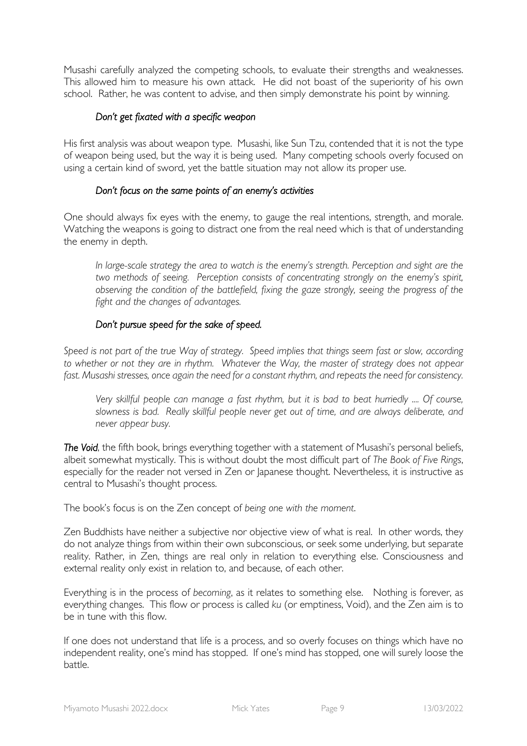Musashi carefully analyzed the competing schools, to evaluate their strengths and weaknesses. This allowed him to measure his own attack. He did not boast of the superiority of his own school. Rather, he was content to advise, and then simply demonstrate his point by winning.

#### *Don't get fixated with a specific weapon*

His first analysis was about weapon type. Musashi, like Sun Tzu, contended that it is not the type of weapon being used, but the way it is being used. Many competing schools overly focused on using a certain kind of sword, yet the battle situation may not allow its proper use.

#### *Don't focus on the same points of an enemy's activities*

One should always fix eyes with the enemy, to gauge the real intentions, strength, and morale. Watching the weapons is going to distract one from the real need which is that of understanding the enemy in depth.

*In large-scale strategy the area to watch is the enemy's strength. Perception and sight are the two methods of seeing. Perception consists of concentrating strongly on the enemy's spirit, observing the condition of the battlefield, fixing the gaze strongly, seeing the progress of the fight and the changes of advantages.*

#### *Don't pursue speed for the sake of speed.*

*Speed is not part of the true Way of strategy. Speed implies that things seem fast or slow, according to whether or not they are in rhythm. Whatever the Way, the master of strategy does not appear*  fast. Musashi stresses, once again the need for a constant rhythm, and repeats the need for consistency.

*Very skillful people can manage a fast rhythm, but it is bad to beat hurriedly .... Of course, slowness is bad. Really skillful people never get out of time, and are always deliberate, and never appear busy.* 

*The Void*, the fifth book, brings everything together with a statement of Musashi's personal beliefs, albeit somewhat mystically. This is without doubt the most difficult part of *The Book of Five Rings*, especially for the reader not versed in Zen or Japanese thought. Nevertheless, it is instructive as central to Musashi's thought process.

The book's focus is on the Zen concept of *being one with the moment*.

Zen Buddhists have neither a subjective nor objective view of what is real. In other words, they do not analyze things from within their own subconscious, or seek some underlying, but separate reality. Rather, in Zen, things are real only in relation to everything else. Consciousness and external reality only exist in relation to, and because, of each other.

Everything is in the process of *becoming*, as it relates to something else. Nothing is forever, as everything changes. This flow or process is called *ku* (or emptiness, Void), and the Zen aim is to be in tune with this flow.

If one does not understand that life is a process, and so overly focuses on things which have no independent reality, one's mind has stopped. If one's mind has stopped, one will surely loose the battle.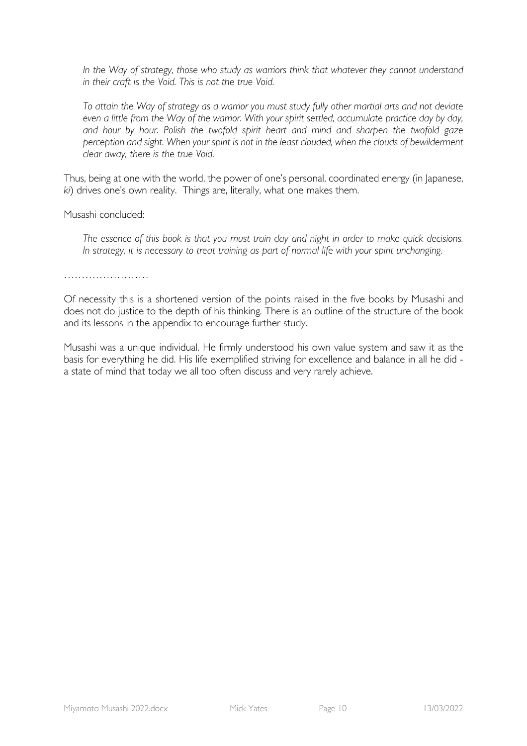*In the Way of strategy, those who study as warriors think that whatever they cannot understand in their craft is the Void. This is not the true Void.* 

*To attain the Way of strategy as a warrior you must study fully other martial arts and not deviate even a little from the Way of the warrior. With your spirit settled, accumulate practice day by day, and hour by hour. Polish the twofold spirit heart and mind and sharpen the twofold gaze perception and sight. When your spirit is not in the least clouded, when the clouds of bewilderment clear away, there is the true Void.*

Thus, being at one with the world, the power of one's personal, coordinated energy (in Japanese, *ki*) drives one's own reality. Things are, literally, what one makes them.

Musashi concluded:

*The essence of this book is that you must train day and night in order to make quick decisions. In strategy, it is necessary to treat training as part of normal life with your spirit unchanging.*

……………………………

Of necessity this is a shortened version of the points raised in the five books by Musashi and does not do justice to the depth of his thinking. There is an outline of the structure of the book and its lessons in the appendix to encourage further study.

Musashi was a unique individual. He firmly understood his own value system and saw it as the basis for everything he did. His life exemplified striving for excellence and balance in all he did a state of mind that today we all too often discuss and very rarely achieve.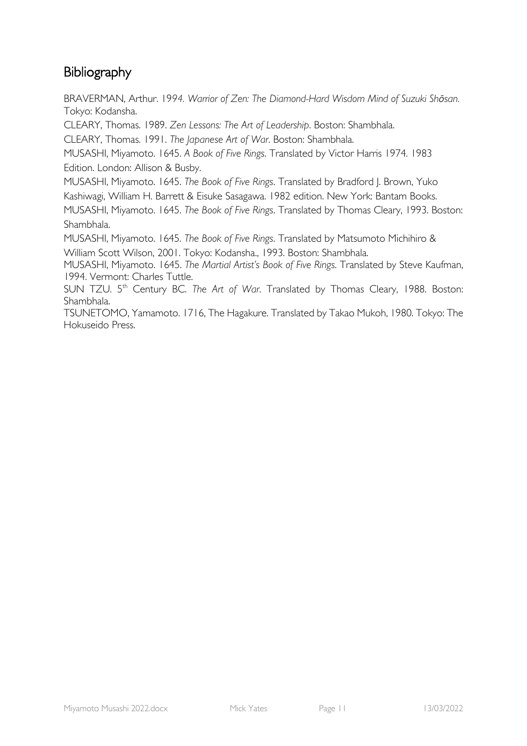# **Bibliography**

BRAVERMAN, Arthur. 19*94. Warrior of Zen: The Diamond-Hard Wisdom Mind of Suzuki Shōsan.*  Tokyo: Kodansha.

CLEARY, Thomas. 1989. *Zen Lessons: The Art of Leadership*. Boston: Shambhala.

CLEARY, Thomas. 1991. *The Japanese Art of War*. Boston: Shambhala.

MUSASHI, Miyamoto. 1645. *A Book of Five Rings*. Translated by Victor Harris 1974. 1983 Edition. London: Allison & Busby.

MUSASHI, Miyamoto. 1645. *The Book of Five Rings*. Translated by Bradford J. Brown, Yuko Kashiwagi, William H. Barrett & Eisuke Sasagawa. 1982 edition. New York: Bantam Books.

MUSASHI, Miyamoto. 1645. *The Book of Five Rings*. Translated by Thomas Cleary, 1993. Boston: Shambhala.

MUSASHI, Miyamoto. 1645. *The Book of Five Rings*. Translated by Matsumoto Michihiro & William Scott Wilson, 2001. Tokyo: Kodansha., 1993. Boston: Shambhala.

MUSASHI, Miyamoto. 1645. *The Martial Artist's Book of Five Rings*. Translated by Steve Kaufman, 1994. Vermont: Charles Tuttle.

SUN TZU. 5th Century BC. *The Art of War*. Translated by Thomas Cleary, 1988. Boston: Shambhala.

TSUNETOMO, Yamamoto. 1716, The Hagakure. Translated by Takao Mukoh, 1980. Tokyo: The Hokuseido Press.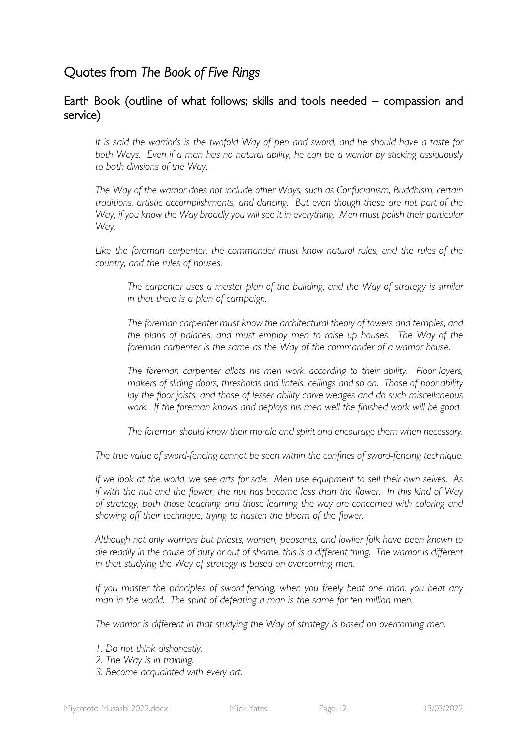## Quotes from *The Book of Five Rings*

## Earth Book (outline of what follows; skills and tools needed – compassion and service)

*It is said the warrior's is the twofold Way of pen and sword, and he should have a taste for both Ways. Even if a man has no natural ability, he can be a warrior by sticking assiduously to both divisions of the Way.*

*The Way of the warrior does not include other Ways, such as Confucianism, Buddhism, certain traditions, artistic accomplishments, and dancing. But even though these are not part of the Way, if you know the Way broadly you will see it in everything. Men must polish their particular Way.*

Like the foreman carpenter, the commander must know natural rules, and the rules of the *country, and the rules of houses.* 

*The carpenter uses a master plan of the building, and the Way of strategy is similar in that there is a plan of campaign.*

*The foreman carpenter must know the architectural theory of towers and temples, and the plans of palaces, and must employ men to raise up houses. The Way of the foreman carpenter is the same as the Way of the commander of a warrior house.*

*The foreman carpenter allots his men work according to their ability. Floor layers, makers of sliding doors, thresholds and lintels, ceilings and so on. Those of poor ability lay the floor joists, and those of lesser ability carve wedges and do such miscellaneous work. If the foreman knows and deploys his men well the finished work will be good.*

*The foreman should know their morale and spirit and encourage them when necessary.* 

*The true value of sword-fencing cannot be seen within the confines of sword-fencing technique.*

*If we look at the world, we see arts for sale. Men use equipment to sell their own selves. As if with the nut and the flower, the nut has become less than the flower. In this kind of Way of strategy, both those teaching and those learning the way are concerned with coloring and showing off their technique, trying to hasten the bloom of the flower.*

*Although not only warriors but priests, women, peasants, and lowlier folk have been known to*  die readily in the cause of duty or out of shame, this is a different thing. The warrior is different *in that studying the Way of strategy is based on overcoming men.* 

*If you master the principles of sword-fencing, when you freely beat one man, you beat any man in the world. The spirit of defeating a man is the same for ten million men.*

*The warrior is different in that studying the Way of strategy is based on overcoming men.*

- *1. Do not think dishonestly.*
- *2. The Way is in training.*
- *3. Become acquainted with every art.*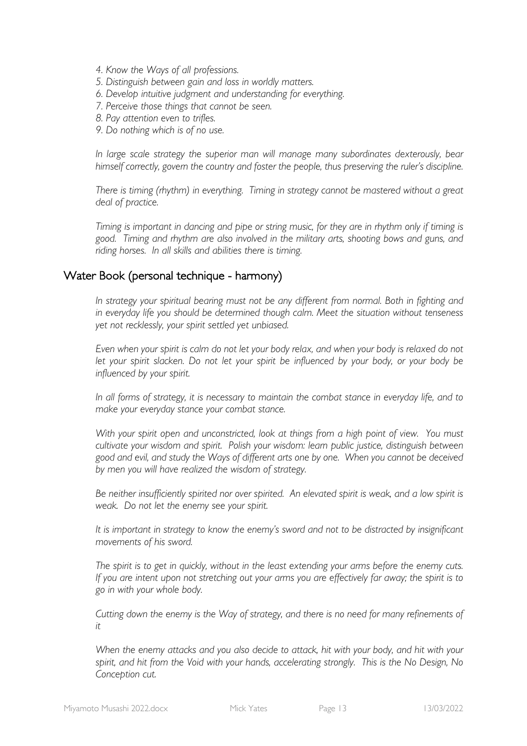- *4. Know the Ways of all professions.*
- *5. Distinguish between gain and loss in worldly matters.*
- *6. Develop intuitive judgment and understanding for everything.*
- *7. Perceive those things that cannot be seen.*
- *8. Pay attention even to trifles.*
- *9. Do nothing which is of no use.*

*In large scale strategy the superior man will manage many subordinates dexterously, bear himself correctly, govern the country and foster the people, thus preserving the ruler's discipline.* 

*There is timing (rhythm) in everything. Timing in strategy cannot be mastered without a great deal of practice.*

*Timing is important in dancing and pipe or string music, for they are in rhythm only if timing is good. Timing and rhythm are also involved in the military arts, shooting bows and guns, and riding horses. In all skills and abilities there is timing.* 

### Water Book (personal technique - harmony)

*In strategy your spiritual bearing must not be any different from normal. Both in fighting and in everyday life you should be determined though calm. Meet the situation without tenseness yet not recklessly, your spirit settled yet unbiased.* 

*Even when your spirit is calm do not let your body relax, and when your body is relaxed do not let your spirit slacken. Do not let your spirit be influenced by your body, or your body be influenced by your spirit.* 

*In all forms of strategy, it is necessary to maintain the combat stance in everyday life, and to make your everyday stance your combat stance.*

*With your spirit open and unconstricted, look at things from a high point of view. You must cultivate your wisdom and spirit. Polish your wisdom: learn public justice, distinguish between good and evil, and study the Ways of different arts one by one. When you cannot be deceived by men you will have realized the wisdom of strategy.* 

*Be neither insufficiently spirited nor over spirited. An elevated spirit is weak, and a low spirit is weak. Do not let the enemy see your spirit.* 

*It is important in strategy to know the enemy's sword and not to be distracted by insignificant movements of his sword.* 

*The spirit is to get in quickly, without in the least extending your arms before the enemy cuts. If you are intent upon not stretching out your arms you are effectively far away; the spirit is to go in with your whole body.*

*Cutting down the enemy is the Way of strategy, and there is no need for many refinements of it*

*When the enemy attacks and you also decide to attack, hit with your body, and hit with your spirit, and hit from the Void with your hands, accelerating strongly. This is the No Design, No Conception cut.*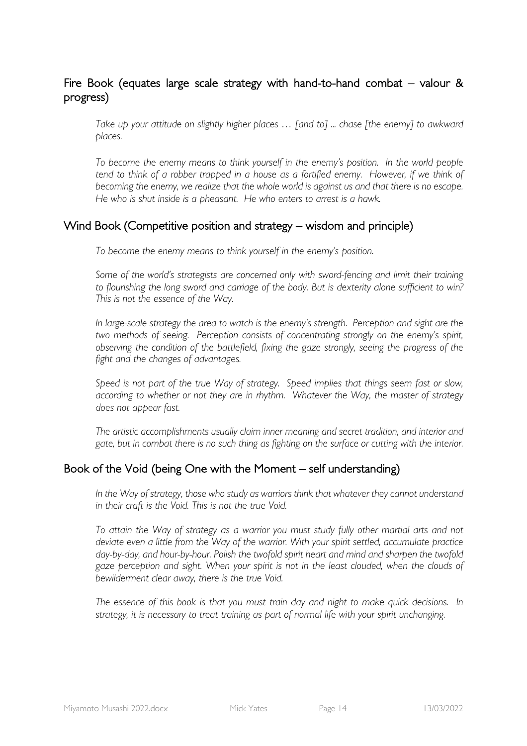## Fire Book (equates large scale strategy with hand-to-hand combat – valour & progress)

*Take up your attitude on slightly higher places … [and to] ... chase [the enemy] to awkward places.* 

*To become the enemy means to think yourself in the enemy's position. In the world people tend to think of a robber trapped in a house as a fortified enemy. However, if we think of becoming the enemy, we realize that the whole world is against us and that there is no escape. He who is shut inside is a pheasant. He who enters to arrest is a hawk.*

## Wind Book (Competitive position and strategy – wisdom and principle)

*To become the enemy means to think yourself in the enemy's position.* 

*Some of the world's strategists are concerned only with sword-fencing and limit their training to flourishing the long sword and carriage of the body. But is dexterity alone sufficient to win? This is not the essence of the Way.* 

*In large-scale strategy the area to watch is the enemy's strength. Perception and sight are the two methods of seeing. Perception consists of concentrating strongly on the enemy's spirit, observing the condition of the battlefield, fixing the gaze strongly, seeing the progress of the fight and the changes of advantages.*

*Speed is not part of the true Way of strategy. Speed implies that things seem fast or slow, according to whether or not they are in rhythm. Whatever the Way, the master of strategy does not appear fast.*

*The artistic accomplishments usually claim inner meaning and secret tradition, and interior and gate, but in combat there is no such thing as fighting on the surface or cutting with the interior.*

## Book of the Void (being One with the Moment – self understanding)

*In the Way of strategy, those who study as warriors think that whatever they cannot understand in their craft is the Void. This is not the true Void.* 

*To attain the Way of strategy as a warrior you must study fully other martial arts and not deviate even a little from the Way of the warrior. With your spirit settled, accumulate practice day-by-day, and hour-by-hour. Polish the twofold spirit heart and mind and sharpen the twofold gaze perception and sight. When your spirit is not in the least clouded, when the clouds of bewilderment clear away, there is the true Void.* 

*The essence of this book is that you must train day and night to make quick decisions. In strategy, it is necessary to treat training as part of normal life with your spirit unchanging.*